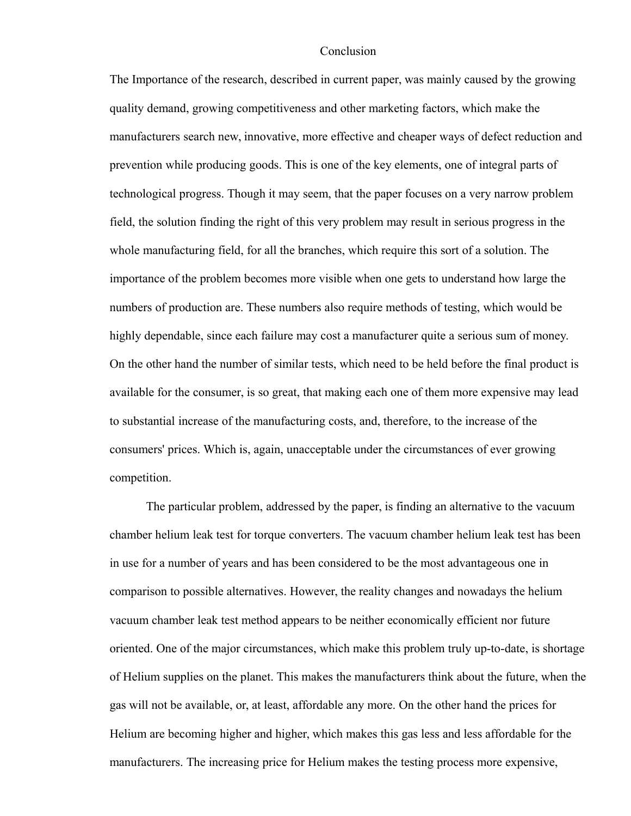## Conclusion

The Importance of the research, described in current paper, was mainly caused by the growing quality demand, growing competitiveness and other marketing factors, which make the manufacturers search new, innovative, more effective and cheaper ways of defect reduction and prevention while producing goods. This is one of the key elements, one of integral parts of technological progress. Though it may seem, that the paper focuses on a very narrow problem field, the solution finding the right of this very problem may result in serious progress in the whole manufacturing field, for all the branches, which require this sort of a solution. The importance of the problem becomes more visible when one gets to understand how large the numbers of production are. These numbers also require methods of testing, which would be highly dependable, since each failure may cost a manufacturer quite a serious sum of money. On the other hand the number of similar tests, which need to be held before the final product is available for the consumer, is so great, that making each one of them more expensive may lead to substantial increase of the manufacturing costs, and, therefore, to the increase of the consumers' prices. Which is, again, unacceptable under the circumstances of ever growing competition.

The particular problem, addressed by the paper, is finding an alternative to the vacuum chamber helium leak test for torque converters. The vacuum chamber helium leak test has been in use for a number of years and has been considered to be the most advantageous one in comparison to possible alternatives. However, the reality changes and nowadays the helium vacuum chamber leak test method appears to be neither economically efficient nor future oriented. One of the major circumstances, which make this problem truly up-to-date, is shortage of Helium supplies on the planet. This makes the manufacturers think about the future, when the gas will not be available, or, at least, affordable any more. On the other hand the prices for Helium are becoming higher and higher, which makes this gas less and less affordable for the manufacturers. The increasing price for Helium makes the testing process more expensive,